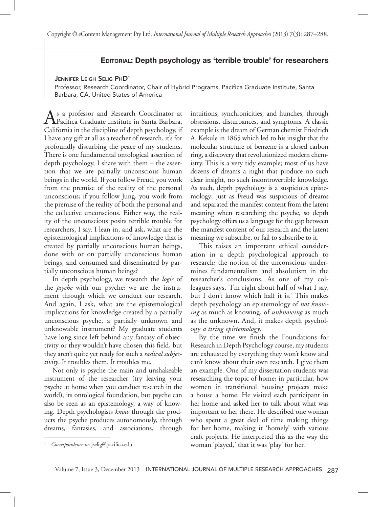## **EDITORIAL: Depth psychology as 'terrible trouble' for researchers**

### JENNIFER LEIGH SELIG PHD1

Professor, Research Coordinator, Chair of Hybrid Programs, Pacifica Graduate Institute, Santa Barbara, CA, United States of America

As a professor and Research Coordinator at<br>Pacifica Graduate Institute in Santa Barbara, California in the discipline of depth psychology, if I have any gift at all as a teacher of research, it's for profoundly disturbing the peace of my students. There is one fundamental ontological assertion of depth psychology, I share with them – the assertion that we are partially unconscious human beings in the world. If you follow Freud, you work from the premise of the reality of the personal unconscious; if you follow Jung, you work from the premise of the reality of both the personal and the collective unconscious. Either way, the reality of the unconscious posits terrible trouble for researchers, I say. I lean in, and ask, what are the epistemological implications of knowledge that is created by partially unconscious human beings, done with or on partially unconscious human beings, and consumed and disseminated by partially unconscious human beings?

In depth psychology, we research the *logic* of the *psyche* with our psyche; we are the instrument through which we conduct our research. And again, I ask, what are the epistemological implications for knowledge created by a partially unconscious psyche, a partially unknown and unknowable instrument? My graduate students have long since left behind any fantasy of objectivity or they wouldn't have chosen this field, but they aren't quite yet ready for such a *radical subjectivity*. It troubles them. It troubles me.

Not only is psyche the main and unshakeable instrument of the researcher (try leaving your psyche at home when you conduct research in the world), its ontological foundation, but psyche can also be seen as an epistemology, a way of knowing. Depth psychologists *know* through the products the psyche produces autonomously, through dreams, fantasies, and associations, through  intuitions, synchronicities, and hunches, through obsessions, disturbances, and symptoms. A classic example is the dream of German chemist Friedrich A. Kekule in 1865 which led to his insight that the molecular structure of benzene is a closed carbon ring, a discovery that revolutionized modern chemistry. This is a very tidy example; most of us have dozens of dreams a night that produce no such clear insight, no such incontrovertible knowledge. As such, depth psychology is a suspicious epistemology; just as Freud was suspicious of dreams and separated the manifest content from the latent meaning when researching the psyche, so depth psychology offers us a language for the gap between the manifest content of our research and the latent meaning we subscribe, or fail to subscribe to it.

This raises an important ethical consideration in a depth psychological approach to research; the notion of the unconscious undermines fundamentalism and absolutism in the researcher's conclusions. As one of my colleagues says, 'I'm right about half of what I say, but I don't know which half it is.' This makes depth psychology an epistemology of *not knowing* as much as knowing, of *unknowing* as much as the unknown. And, it makes depth psychology *a tiring epistemology*.

By the time we finish the Foundations for Research in Depth Psychology course, my students are exhausted by everything they won't know and can't know about their own research. I give them an example. One of my dissertation students was researching the topic of home; in particular, how women in transitional housing projects make a house a home. He visited each participant in her home and asked her to talk about what was important to her there. He described one woman who spent a great deal of time making things for her home, making it 'homely' with various craft projects. He interpreted this as the way the woman 'played,' that it was 'play' for her.

<sup>1</sup> *Correspondence to*: jselig@pacifica.edu